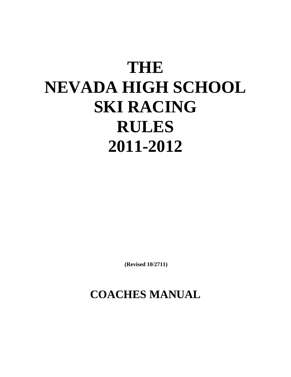# **THE NEVADA HIGH SCHOOL SKI RACING RULES 2011-2012**

 **(Revised 10/2711)** 

## **COACHES MANUAL**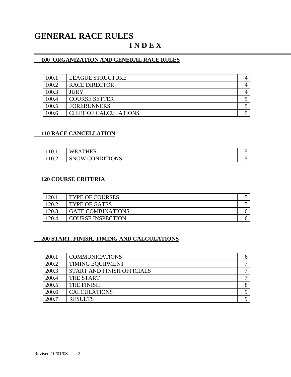### **GENERAL RACE RULES I N D E X**

#### **100 ORGANIZATION AND GENERAL RACE RULES**

| 100.1 | <b>LEAGUE STRUCTURE</b>      |  |
|-------|------------------------------|--|
| 100.2 | <b>RACE DIRECTOR</b>         |  |
| 100.3 | <b>JURY</b>                  |  |
| 100.4 | <b>COURSE SETTER</b>         |  |
| 100.5 | <b>FORERUNNERS</b>           |  |
| 100.6 | <b>CHIEF OF CALCULATIONS</b> |  |

#### **110 RACE CANCELLATION**

 $\overline{a}$ 

| 110.1 | THER<br>'EAT<br>w                        | . . |
|-------|------------------------------------------|-----|
| 10.2  | <b>CONDITIONS</b><br>$\mathbf{W}$<br>:NO | . . |

#### **120 COURSE CRITERIA**

| 120.  | <b>TYPE OF COURSES</b>   |  |
|-------|--------------------------|--|
|       | <b>TYPE OF GATES</b>     |  |
| 120.3 | <b>GATE COMBINATIONS</b> |  |
| 120.4 | <b>COURSE INSPECTION</b> |  |

#### **200 START, FINISH, TIMING AND CALCULATIONS**

| 200.1 | <b>COMMUNICATIONS</b>      |   |
|-------|----------------------------|---|
| 200.2 | <b>TIMING EQUIPMENT</b>    |   |
| 200.3 | START AND FINISH OFFICIALS |   |
| 200.4 | THE START                  | − |
| 200.5 | THE FINISH                 | Ω |
| 200.6 | <b>CALCULATIONS</b>        |   |
| 200.7 | <b>RESULTS</b>             |   |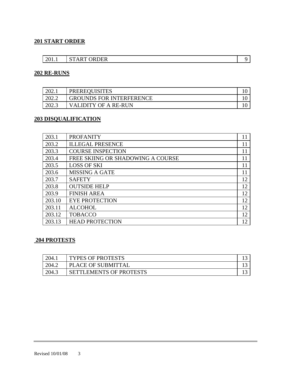#### **201 START ORDER**

| 201.1 | <b>START ORDER</b> |  |
|-------|--------------------|--|

#### **202 RE-RUNS**

| 202.1 | <b>PREREQUISITES</b>            |  |
|-------|---------------------------------|--|
| 202.2 | <b>GROUNDS FOR INTERFERENCE</b> |  |
| 202.3 | VALIDITY OF A RE-RUN            |  |

#### **203 DISQUALIFICATION**

| 203.1  | <b>PROFANITY</b>                  | 11 |
|--------|-----------------------------------|----|
| 203.2  | <b>ILLEGAL PRESENCE</b>           | 11 |
| 203.3  | <b>COURSE INSPECTION</b>          | 11 |
| 203.4  | FREE SKIING OR SHADOWING A COURSE | 11 |
| 203.5  | <b>LOSS OF SKI</b>                | 11 |
| 203.6  | <b>MISSING A GATE</b>             | 11 |
| 203.7  | <b>SAFETY</b>                     | 12 |
| 203.8  | <b>OUTSIDE HELP</b>               | 12 |
| 203.9  | <b>FINISH AREA</b>                | 12 |
| 203.10 | <b>EYE PROTECTION</b>             | 12 |
| 203.11 | <b>ALCOHOL</b>                    | 12 |
| 203.12 | <b>TOBACCO</b>                    | 12 |
| 203.13 | <b>HEAD PROTECTION</b>            | 12 |

#### **204 PROTESTS**

| 204.1 | <b>TYPES OF PROTESTS</b>       |  |
|-------|--------------------------------|--|
| 204.2 | PLACE OF SUBMITTAL             |  |
| 204.5 | <b>SETTLEMENTS OF PROTESTS</b> |  |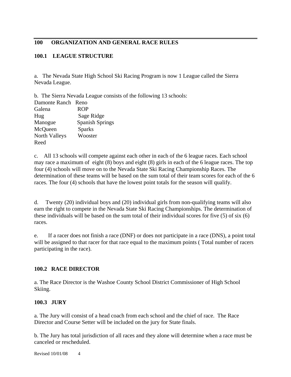#### **100 ORGANIZATION AND GENERAL RACE RULES**

#### **100.1 LEAGUE STRUCTURE**

a. The Nevada State High School Ski Racing Program is now 1 League called the Sierra Nevada League.

b. The Sierra Nevada League consists of the following 13 schools: Damonte Ranch Reno Galena ROP Hug Sage Ridge Manogue Spanish Springs McQueen Sparks North Valleys Wooster Reed

c. All 13 schools will compete against each other in each of the 6 league races. Each school may race a maximum of eight (8) boys and eight (8) girls in each of the 6 league races. The top four (4) schools will move on to the Nevada State Ski Racing Championship Races. The determination of these teams will be based on the sum total of their team scores for each of the 6 races. The four (4) schools that have the lowest point totals for the season will qualify.

d. Twenty (20) individual boys and (20) individual girls from non-qualifying teams will also earn the right to compete in the Nevada State Ski Racing Championships. The determination of these individuals will be based on the sum total of their individual scores for five (5) of six (6) races.

e. If a racer does not finish a race (DNF) or does not participate in a race (DNS), a point total will be assigned to that racer for that race equal to the maximum points (Total number of racers participating in the race).

#### **100.2 RACE DIRECTOR**

a. The Race Director is the Washoe County School District Commissioner of High School Skiing.

#### **100.3 JURY**

a. The Jury will consist of a head coach from each school and the chief of race. The Race Director and Course Setter will be included on the jury for State finals.

b. The Jury has total jurisdiction of all races and they alone will determine when a race must be canceled or rescheduled.

Revised 10/01/08 4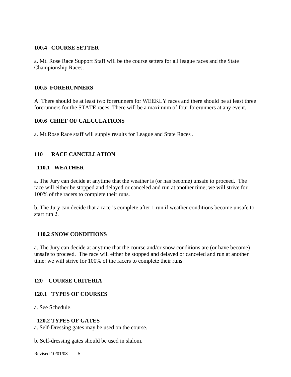#### **100.4 COURSE SETTER**

a. Mt. Rose Race Support Staff will be the course setters for all league races and the State Championship Races.

#### **100.5 FORERUNNERS**

A. There should be at least two forerunners for WEEKLY races and there should be at least three forerunners for the STATE races. There will be a maximum of four forerunners at any event.

#### **100.6 CHIEF OF CALCULATIONS**

a. Mt.Rose Race staff will supply results for League and State Races .

#### **110 RACE CANCELLATION**

#### **110.1 WEATHER**

a. The Jury can decide at anytime that the weather is (or has become) unsafe to proceed. The race will either be stopped and delayed or canceled and run at another time; we will strive for 100% of the racers to complete their runs.

b. The Jury can decide that a race is complete after 1 run if weather conditions become unsafe to start run 2.

#### **110.2 SNOW CONDITIONS**

a. The Jury can decide at anytime that the course and/or snow conditions are (or have become) unsafe to proceed. The race will either be stopped and delayed or canceled and run at another time: we will strive for 100% of the racers to complete their runs.

#### **120 COURSE CRITERIA**

#### **120.1 TYPES OF COURSES**

a. See Schedule.

#### **120.2 TYPES OF GATES**

a. Self-Dressing gates may be used on the course.

b. Self-dressing gates should be used in slalom.

Revised 10/01/08 5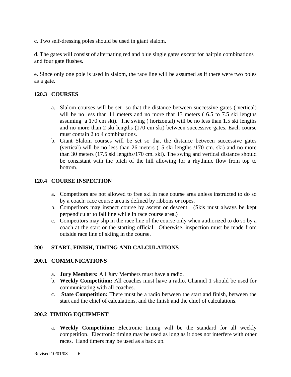c. Two self-dressing poles should be used in giant slalom.

d. The gates will consist of alternating red and blue single gates except for hairpin combinations and four gate flushes.

e. Since only one pole is used in slalom, the race line will be assumed as if there were two poles as a gate.

#### **120.3 COURSES**

- a. Slalom courses will be set so that the distance between successive gates ( vertical) will be no less than 11 meters and no more that 13 meters (6.5 to 7.5 ski lengths assuming a 170 cm ski). The swing ( horizontal) will be no less than 1.5 ski lengths and no more than 2 ski lengths (170 cm ski) between successive gates. Each course must contain 2 to 4 combinations.
- b. Giant Slalom courses will be set so that the distance between successive gates (vertical) will be no less than 26 meters (15 ski lengths /170 cm. ski) and no more than 30 meters (17.5 ski lengths/170 cm. ski). The swing and vertical distance should be consistant with the pitch of the hill allowing for a rhythmic flow from top to bottom.

#### **120.4 COURSE INSPECTION**

- a. Competitors are not allowed to free ski in race course area unless instructed to do so by a coach: race course area is defined by ribbons or ropes.
- b. Competitors may inspect course by ascent or descent. (Skis must always be kept perpendicular to fall line while in race course area.)
- c. Competitors may slip in the race line of the course only when authorized to do so by a coach at the start or the starting official. Otherwise, inspection must be made from outside race line of skiing in the course.

#### **200 START, FINISH, TIMING AND CALCULATIONS**

#### **200.1 COMMUNICATIONS**

- a. **Jury Members:** All Jury Members must have a radio.
- b. **Weekly Competition:** All coaches must have a radio. Channel 1 should be used for communicating with all coaches.
- c. **State Competition:** There must be a radio between the start and finish, between the start and the chief of calculations, and the finish and the chief of calculations.

#### **200.2 TIMING EQUIPMENT**

a. **Weekly Competition:** Electronic timing will be the standard for all weekly competition. Electronic timing may be used as long as it does not interfere with other races. Hand timers may be used as a back up.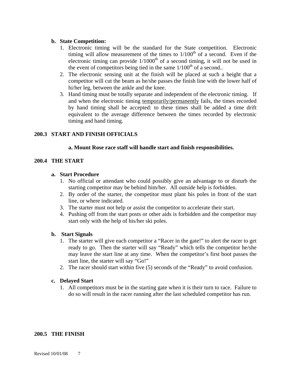#### **b. State Competition:**

- 1. Electronic timing will be the standard for the State competition. Electronic timing will allow measurement of the times to  $1/100<sup>th</sup>$  of a second. Even if the electronic timing can provide  $1/1000<sup>th</sup>$  of a second timing, it will not be used in the event of competitors being tied in the same  $1/100<sup>th</sup>$  of a second..
- 2. The electronic sensing unit at the finish will be placed at such a height that a competitor will cut the beam as he/she passes the finish line with the lower half of hi/her leg, between the ankle and the knee.
- 3. Hand timing must be totally separate and independent of the electronic timing. If and when the electronic timing temporarily/permanently fails, the times recorded by hand timing shall be accepted: to these times shall be added a time drift equivalent to the average difference between the times recorded by electronic timing and hand timing.

#### **200.3 START AND FINISH OFFICIALS**

#### **a. Mount Rose race staff will handle start and finish responsibilities.**

#### **200.4 THE START**

#### **a. Start Procedure**

- 1. No official or attendant who could possibly give an advantage to or disturb the starting competitor may be behind him/her. All outside help is forbidden.
- 2. By order of the starter, the competitor must plant his poles in front of the start line, or where indicated.
- 3. The starter must not help or assist the competitor to accelerate their start.
- 4. Pushing off from the start posts or other aids is forbidden and the competitor may start only with the help of his/her ski poles.

#### **b. Start Signals**

- 1. The starter will give each competitor a "Racer in the gate!" to alert the racer to get ready to go. Then the starter will say "Ready" which tells the competitor he/she may leave the start line at any time. When the competitor's first boot passes the start line, the starter will say "Go!"
- 2. The racer should start within five (5) seconds of the "Ready" to avoid confusion.

#### **c. Delayed Start**

1. All competitors must be in the starting gate when it is their turn to race. Failure to do so will result in the racer running after the last scheduled competitor has run.

#### **200.5 THE FINISH**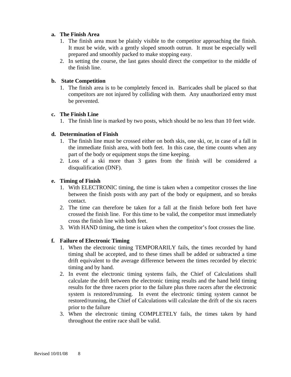#### **a. The Finish Area**

- 1. The finish area must be plainly visible to the competitor approaching the finish. It must be wide, with a gently sloped smooth outrun. It must be especially well prepared and smoothly packed to make stopping easy.
- 2. In setting the course, the last gates should direct the competitor to the middle of the finish line.

#### **b. State Competition**

1. The finish area is to be completely fenced in. Barricades shall be placed so that competitors are not injured by colliding with them. Any unauthorized entry must be prevented.

#### **c. The Finish Line**

1. The finish line is marked by two posts, which should be no less than 10 feet wide.

#### **d. Determination of Finish**

- 1. The finish line must be crossed either on both skis, one ski, or, in case of a fall in the immediate finish area, with both feet. In this case, the time counts when any part of the body or equipment stops the time keeping.
- 2. Loss of a ski more than 3 gates from the finish will be considered a disqualification (DNF).

#### **e. Timing of Finish**

- 1. With ELECTRONIC timing, the time is taken when a competitor crosses the line between the finish posts with any part of the body or equipment, and so breaks contact.
- 2. The time can therefore be taken for a fall at the finish before both feet have crossed the finish line. For this time to be valid, the competitor must immediately cross the finish line with both feet.
- 3. With HAND timing, the time is taken when the competitor's foot crosses the line.

#### **f. Failure of Electronic Timing**

- 1. When the electronic timing TEMPORARILY fails, the times recorded by hand timing shall be accepted, and to these times shall be added or subtracted a time drift equivalent to the average difference between the times recorded by electric timing and by hand.
- 2. In event the electronic timing systems fails, the Chief of Calculations shall calculate the drift between the electronic timing results and the hand held timing results for the three racers prior to the failure plus three racers after the electronic system is restored/running. In event the electronic timing system cannot be restored/running, the Chief of Calculations will calculate the drift of the six racers prior to the failure
- 3. When the electronic timing COMPLETELY fails, the times taken by hand throughout the entire race shall be valid.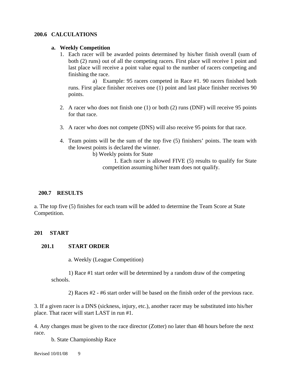#### **200.6 CALCULATIONS**

#### **a. Weekly Competition**

1. Each racer will be awarded points determined by his/her finish overall (sum of both (2) runs) out of all the competing racers. First place will receive 1 point and last place will receive a point value equal to the number of racers competing and finishing the race.

 a) Example: 95 racers competed in Race #1. 90 racers finished both runs. First place finisher receives one (1) point and last place finisher receives 90 points.

- 2. A racer who does not finish one (1) or both (2) runs (DNF) will receive 95 points for that race.
- 3. A racer who does not compete (DNS) will also receive 95 points for that race.
- 4. Team points will be the sum of the top five (5) finishers' points. The team with the lowest points is declared the winner.

b) Weekly points for State

 1. Each racer is allowed FIVE (5) results to qualify for State competition assuming hi/her team does not qualify.

#### **200.7 RESULTS**

a. The top five (5) finishes for each team will be added to determine the Team Score at State Competition.

#### **201 START**

#### **201.1 START ORDER**

a. Weekly (League Competition)

1) Race #1 start order will be determined by a random draw of the competing schools.

2) Races #2 - #6 start order will be based on the finish order of the previous race.

3. If a given racer is a DNS (sickness, injury, etc.), another racer may be substituted into his/her place. That racer will start LAST in run #1.

4. Any changes must be given to the race director (Zotter) no later than 48 hours before the next race.

b. State Championship Race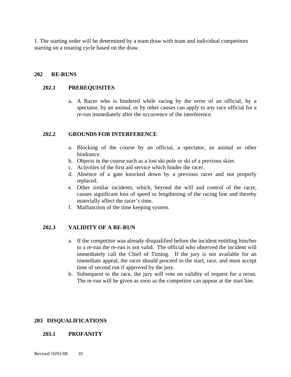1. The starting order will be determined by a team draw with team and individual competitors starting on a rotating cycle based on the draw.

#### **202 RE-RUNS**

#### **202.1 PREREQUISITES**

a. A Racer who is hindered while racing by the error of an official, by a spectator, by an animal, or by other causes can apply to any race official for a re-run immediately after the occurrence of the interference.

#### **202.2 GROUNDS FOR INTERFERENCE**

- a. Blocking of the course by an official, a spectator, an animal or other hindrance.
- b. Objects in the course such as a lost ski pole or ski of a previous skier.
- c. Activities of the first aid service which hinder the racer.
- d. Absence of a gate knocked down by a previous racer and not properly replaced.
- e. Other similar incidents, which, beyond the will and control of the racer, causes significant loss of speed or lengthening of the racing line and thereby materially affect the racer's time.
- f. Malfunction of the time keeping system.

#### **202.3 VALIDITY OF A RE-RUN**

- a. If the competitor was already disqualified before the incident entitling him/her to a re-run the re-run is not valid. The official who observed the incident will immediately call the Chief of Timing. If the jury is not available for an immediate appeal, the racer should proceed to the start, race, and must accept time of second run if approved by the jury.
- b. Subsequent to the race, the jury will vote on validity of request for a rerun. The re-run will be given as soon as the competitor can appear at the start line.

#### **203 DISQUALIFICATIONS**

#### **203.1 PROFANITY**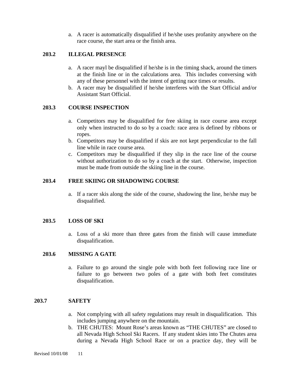a. A racer is automatically disqualified if he/she uses profanity anywhere on the race course, the start area or the finish area.

#### **203.2 ILLEGAL PRESENCE**

- a. A racer mayl be disqualified if he/she is in the timing shack, around the timers at the finish line or in the calculations area. This includes conversing with any of these personnel with the intent of getting race times or results.
- b. A racer may be disqualified if he/she interferes with the Start Official and/or Assistant Start Official.

#### **203.3 COURSE INSPECTION**

- a. Competitors may be disqualified for free skiing in race course area except only when instructed to do so by a coach: race area is defined by ribbons or ropes.
- b. Competitors may be disqualified if skis are not kept perpendicular to the fall line while in race course area.
- c. Competitors may be disqualified if they slip in the race line of the course without authorization to do so by a coach at the start. Otherwise, inspection must be made from outside the skiing line in the course.

#### **203.4 FREE SKIING OR SHADOWING COURSE**

a. If a racer skis along the side of the course, shadowing the line, he/she may be disqualified.

#### **203.5 LOSS OF SKI**

a. Loss of a ski more than three gates from the finish will cause immediate disqualification.

#### **203.6 MISSING A GATE**

a. Failure to go around the single pole with both feet following race line or failure to go between two poles of a gate with both feet constitutes disqualification.

#### **203.7 SAFETY**

- a. Not complying with all safety regulations may result in disqualification. This includes jumping anywhere on the mountain.
- b. THE CHUTES: Mount Rose's areas known as "THE CHUTES" are closed to all Nevada High School Ski Racers. If any student skies into The Chutes area during a Nevada High School Race or on a practice day, they will be

Revised 10/01/08 11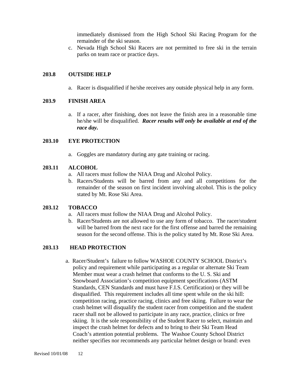immediately dismissed from the High School Ski Racing Program for the remainder of the ski season.

c. Nevada High School Ski Racers are not permitted to free ski in the terrain parks on team race or practice days.

#### **203.8 OUTSIDE HELP**

a. Racer is disqualified if he/she receives any outside physical help in any form.

#### **203.9 FINISH AREA**

a. If a racer, after finishing, does not leave the finish area in a reasonable time he/she will be disqualified. *Racer results will only be available at end of the race day.* 

#### **203.10 EYE PROTECTION**

a. Goggles are mandatory during any gate training or racing.

#### **203.11 ALCOHOL**

- a. All racers must follow the NIAA Drug and Alcohol Policy.
- b. Racers/Students will be barred from any and all competitions for the remainder of the season on first incident involving alcohol. This is the policy stated by Mt. Rose Ski Area.

#### **203.12 TOBACCO**

- a. All racers must follow the NIAA Drug and Alcohol Policy.
- b. Racer/Students are not allowed to use any form of tobacco. The racer/student will be barred from the next race for the first offense and barred the remaining season for the second offense. This is the policy stated by Mt. Rose Ski Area.

#### **203.13 HEAD PROTECTION**

 a. Racer/Student's failure to follow WASHOE COUNTY SCHOOL District's policy and requirement while participating as a regular or alternate Ski Team Member must wear a crash helmet that conforms to the U. S. Ski and Snowboard Association's competition equipment specifications (ASTM Standards, CEN Standards and must have F.I.S. Certification) or they will be disqualified. This requirement includes all time spent while on the ski hill: competition racing, practice racing, clinics and free skiing. Failure to wear the crash helmet will disqualify the student racer from competition and the student racer shall not be allowed to participate in any race, practice, clinics or free skiing. It is the sole responsibility of the Student Racer to select, maintain and inspect the crash helmet for defects and to bring to their Ski Team Head Coach's attention potential problems. The Washoe County School District neither specifies nor recommends any particular helmet design or brand: even